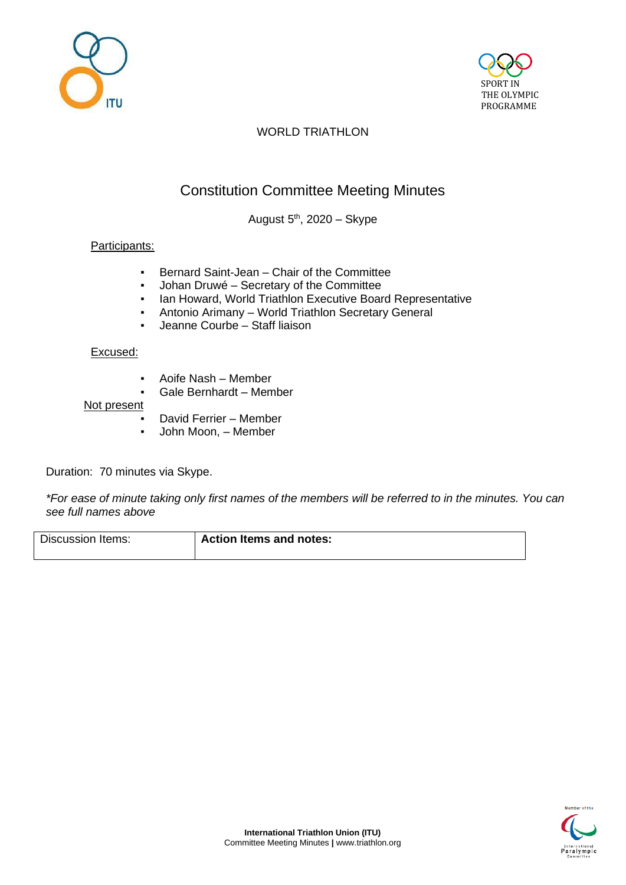



## WORLD TRIATHLON

# Constitution Committee Meeting Minutes

August 5<sup>th</sup>, 2020 – Skype

#### Participants:

- Bernard Saint-Jean Chair of the Committee
- Johan Druwé Secretary of the Committee
- Ian Howard, World Triathlon Executive Board Representative
- Antonio Arimany World Triathlon Secretary General
- Jeanne Courbe Staff liaison

#### Excused:

- Aoife Nash Member
- Gale Bernhardt Member

#### Not present

- David Ferrier Member
- John Moon, Member

Duration: 70 minutes via Skype.

*\*For ease of minute taking only first names of the members will be referred to in the minutes. You can see full names above*

| Discussion Items: | <b>Action Items and notes:</b> |
|-------------------|--------------------------------|
|                   |                                |